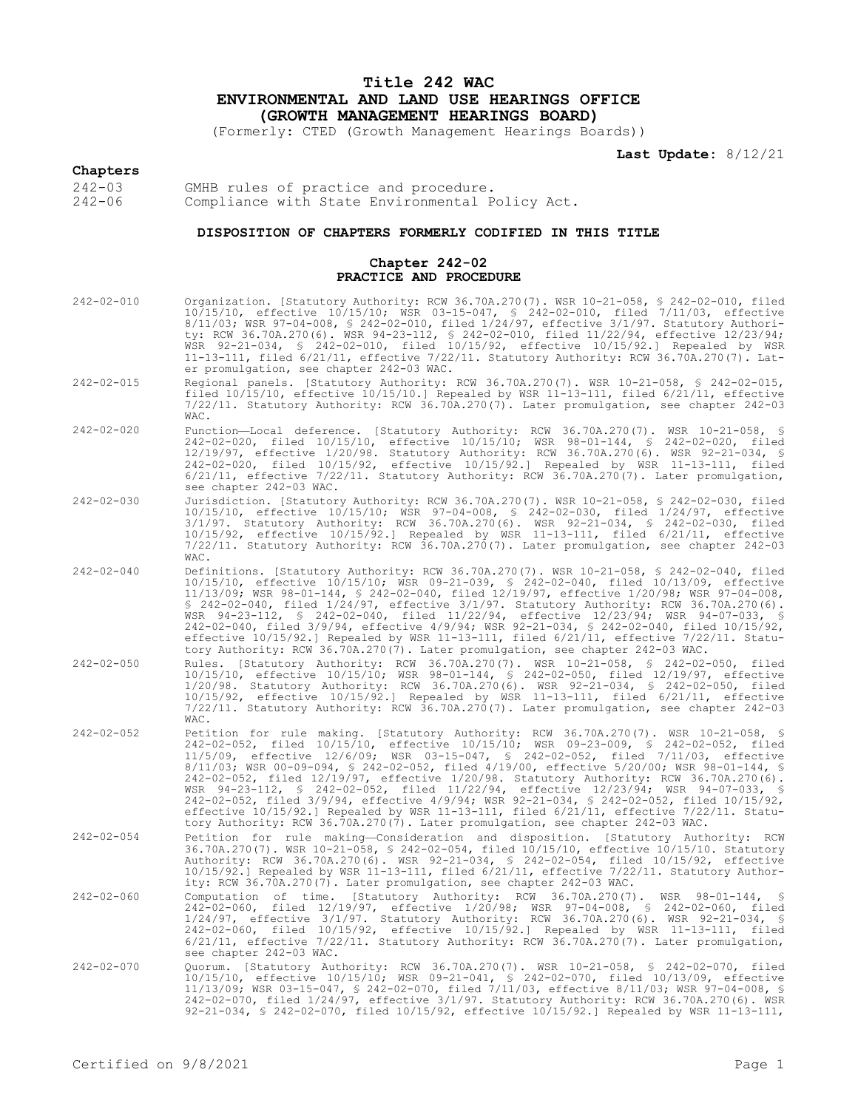# **Title 242 WAC ENVIRONMENTAL AND LAND USE HEARINGS OFFICE (GROWTH MANAGEMENT HEARINGS BOARD)**

(Formerly: CTED (Growth Management Hearings Boards))

**Last Update:** 8/12/21

**Chapters**<br>242-03<br>242-06 GMHB rules of practice and procedure. Compliance with State Environmental Policy Act.

## **DISPOSITION OF CHAPTERS FORMERLY CODIFIED IN THIS TITLE**

## **Chapter 242-02 PRACTICE AND PROCEDURE**

| $242 - 02 - 010$ | Organization. [Statutory Authority: RCW 36.70A.270(7). WSR 10-21-058, § 242-02-010, filed<br>10/15/10, effective 10/15/10; WSR 03-15-047, § 242-02-010, filed 7/11/03, effective<br>8/11/03; WSR 97-04-008, § 242-02-010, filed 1/24/97, effective 3/1/97. Statutory Authori-<br>ty: RCW 36.70A.270(6). WSR 94-23-112, § 242-02-010, filed 11/22/94, effective 12/23/94;<br>WSR 92-21-034, \$ 242-02-010, filed 10/15/92, effective 10/15/92.] Repealed by WSR<br>11-13-111, filed 6/21/11, effective 7/22/11. Statutory Authority: RCW 36.70A.270(7). Lat-<br>er promulgation, see chapter 242-03 WAC.                                                                                                                                                                                                             |
|------------------|---------------------------------------------------------------------------------------------------------------------------------------------------------------------------------------------------------------------------------------------------------------------------------------------------------------------------------------------------------------------------------------------------------------------------------------------------------------------------------------------------------------------------------------------------------------------------------------------------------------------------------------------------------------------------------------------------------------------------------------------------------------------------------------------------------------------|
| $242 - 02 - 015$ | Regional panels. [Statutory Authority: RCW 36.70A.270(7). WSR 10-21-058, § 242-02-015,<br>filed $10/15/10$ , effective $10/15/10$ .] Repealed by WSR 11-13-111, filed $6/21/11$ , effective<br>7/22/11. Statutory Authority: RCW 36.70A.270(7). Later promulgation, see chapter 242-03<br>WAC.                                                                                                                                                                                                                                                                                                                                                                                                                                                                                                                      |
| $242 - 02 - 020$ | Function-Local deference. [Statutory Authority: RCW 36.70A.270(7). WSR 10-21-058, §<br>242-02-020, filed 10/15/10, effective 10/15/10; WSR 98-01-144, \$ 242-02-020, filed<br>12/19/97, effective 1/20/98. Statutory Authority: RCW 36.70A.270(6). WSR 92-21-034, §<br>242-02-020, filed 10/15/92, effective 10/15/92.] Repealed by WSR 11-13-111, filed<br>$6/21/11$ , effective $7/22/11$ . Statutory Authority: RCW 36.70A.270(7). Later promulgation,<br>see chapter 242-03 WAC.                                                                                                                                                                                                                                                                                                                                |
| $242 - 02 - 030$ | Jurisdiction. [Statutory Authority: RCW 36.70A.270(7). WSR 10-21-058, § 242-02-030, filed<br>10/15/10, effective 10/15/10; WSR 97-04-008, § 242-02-030, filed 1/24/97, effective<br>3/1/97. Statutory Authority: RCW 36.70A.270(6). WSR 92-21-034, \$ 242-02-030, filed<br>10/15/92, effective 10/15/92.] Repealed by WSR 11-13-111, filed 6/21/11, effective<br>7/22/11. Statutory Authority: RCW 36.70A.270(7). Later promulgation, see chapter 242-03<br>WAC.                                                                                                                                                                                                                                                                                                                                                    |
| $242 - 02 - 040$ | Definitions. [Statutory Authority: RCW 36.70A.270(7). WSR 10-21-058, § 242-02-040, filed<br>10/15/10, effective 10/15/10; WSR 09-21-039, § 242-02-040, filed 10/13/09, effective<br>11/13/09; WSR 98-01-144, § 242-02-040, filed 12/19/97, effective 1/20/98; WSR 97-04-008,<br>$$242-02-040$ , filed $1/24/97$ , effective $3/1/97$ . Statutory Authority: RCW 36.70A.270(6).<br>WSR 94-23-112, \$ 242-02-040, filed 11/22/94, effective 12/23/94; WSR 94-07-033, \$<br>242-02-040, filed 3/9/94, effective 4/9/94; WSR 92-21-034, § 242-02-040, filed 10/15/92,<br>effective $10/15/92$ . Repealed by WSR 11-13-111, filed $6/21/11$ , effective $7/22/11$ . Statu-<br>tory Authority: RCW 36.70A.270(7). Later promulgation, see chapter 242-03 WAC.                                                             |
| $242 - 02 - 050$ | Rules. [Statutory Authority: RCW 36.70A.270(7). WSR 10-21-058, § 242-02-050, filed<br>10/15/10, effective 10/15/10; WSR 98-01-144, § 242-02-050, filed 12/19/97, effective<br>1/20/98. Statutory Authority: RCW 36.70A.270(6). WSR 92-21-034, § 242-02-050, filed<br>$10/15/92$ , effective $10/15/92$ . Repealed by WSR 11-13-111, filed $6/21/11$ , effective<br>7/22/11. Statutory Authority: RCW 36.70A.270(7). Later promulgation, see chapter 242-03<br>WAC.                                                                                                                                                                                                                                                                                                                                                  |
| $242 - 02 - 052$ | Petition for rule making. [Statutory Authority: RCW 36.70A.270(7). WSR 10-21-058, §<br>242-02-052, filed 10/15/10, effective 10/15/10; WSR 09-23-009, § 242-02-052, filed<br>11/5/09, effective 12/6/09; WSR 03-15-047, § 242-02-052, filed 7/11/03, effective<br>8/11/03; WSR 00-09-094, § 242-02-052, filed 4/19/00, effective 5/20/00; WSR 98-01-144, §<br>242-02-052, filed 12/19/97, effective 1/20/98. Statutory Authority: RCW 36.70A.270(6).<br>WSR 94-23-112, § 242-02-052, filed 11/22/94, effective 12/23/94; WSR 94-07-033, §<br>242-02-052, filed 3/9/94, effective 4/9/94; WSR 92-21-034, § 242-02-052, filed 10/15/92,<br>effective 10/15/92.] Repealed by WSR 11-13-111, filed 6/21/11, effective 7/22/11. Statu-<br>tory Authority: RCW 36.70A.270(7). Later promulgation, see chapter 242-03 WAC. |
| $242 - 02 - 054$ | Petition for rule making-Consideration and disposition. [Statutory Authority: RCW<br>36.70A.270(7). WSR 10-21-058, § 242-02-054, filed 10/15/10, effective 10/15/10. Statutory<br>Authority: RCW 36.70A.270(6). WSR 92-21-034, § 242-02-054, filed 10/15/92, effective<br>$10/15/92$ .] Repealed by WSR 11-13-111, filed $6/21/11$ , effective $7/22/11$ . Statutory Author-<br>ity: RCW 36.70A.270(7). Later promulgation, see chapter 242-03 WAC.                                                                                                                                                                                                                                                                                                                                                                 |
| $242 - 02 - 060$ | Computation of time. [Statutory Authority: RCW 36.70A.270(7). WSR 98-01-144, §<br>242-02-060, filed 12/19/97, effective 1/20/98; WSR 97-04-008, § 242-02-060, filed<br>1/24/97, effective 3/1/97. Statutory Authority: RCW 36.70A.270(6). WSR 92-21-034, §<br>242-02-060, filed 10/15/92, effective 10/15/92.] Repealed by WSR 11-13-111, filed<br>$6/21/11$ , effective $7/22/11$ . Statutory Authority: RCW 36.70A.270(7). Later promulgation,<br>see chapter 242-03 WAC.                                                                                                                                                                                                                                                                                                                                         |
| $242 - 02 - 070$ | Quorum. [Statutory Authority: RCW 36.70A.270(7). WSR 10-21-058, § 242-02-070, filed<br>10/15/10, effective 10/15/10; WSR 09-21-041, § 242-02-070, filed 10/13/09, effective<br>11/13/09; WSR 03-15-047, § 242-02-070, filed 7/11/03, effective 8/11/03; WSR 97-04-008, §<br>242-02-070, filed 1/24/97, effective 3/1/97. Statutory Authority: RCW 36.70A.270(6). WSR<br>92-21-034, \$ 242-02-070, filed 10/15/92, effective 10/15/92.] Repealed by WSR 11-13-111,                                                                                                                                                                                                                                                                                                                                                   |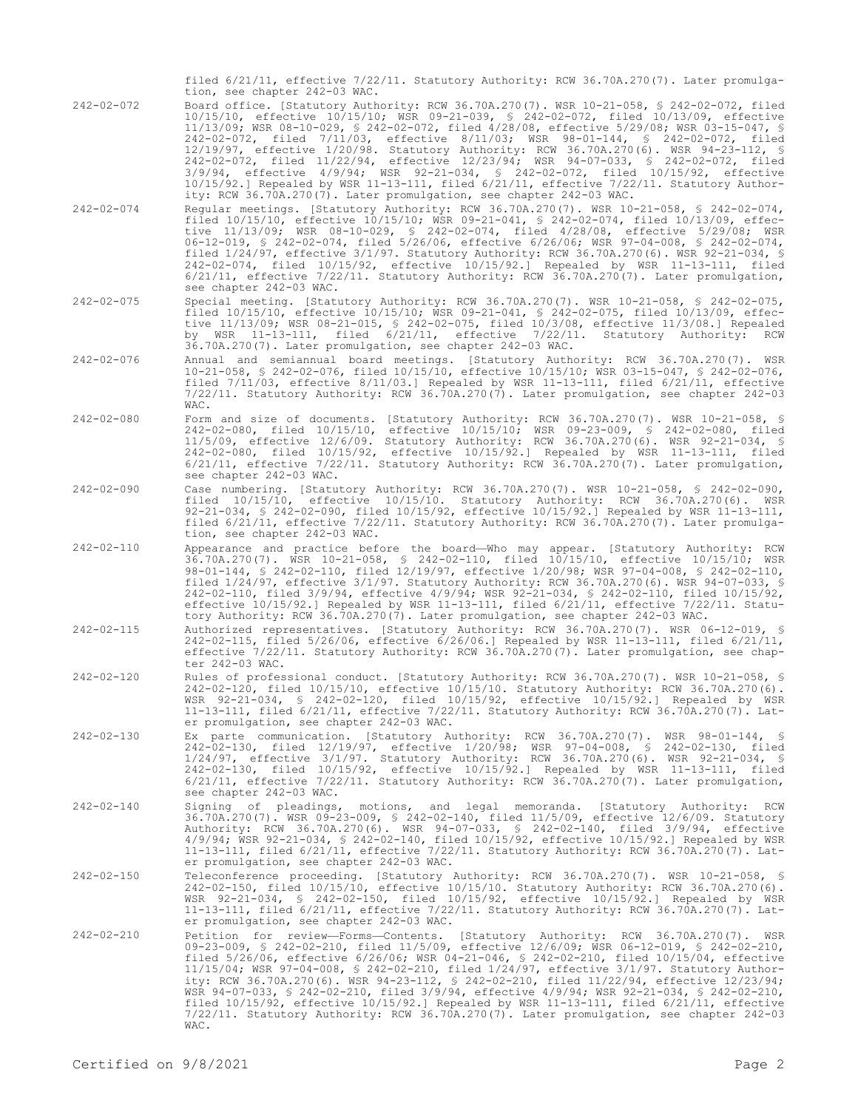filed 6/21/11, effective 7/22/11. Statutory Authority: RCW 36.70A.270(7). Later promulgation, see chapter 242-03 WAC.

- 242-02-072 Board office. [Statutory Authority: RCW 36.70A.270(7). WSR 10-21-058, § 242-02-072, filed 10/15/10, effective 10/15/10; WSR 09-21-039, § 242-02-072, filed 10/13/09, effective 11/13/09; WSR 08-10-029, § 242-02-072, filed 4/28/08, effective 5/29/08; WSR 03-15-047, § 242-02-072, filed 7/11/03, effective 8/11/03; WSR 98-01-144, § 242-02-072, filed 12/19/97, effective 1/20/98. Statutory Authority: RCW 36.70A.270(6). WSR 94-23-112, § 242-02-072, filed 11/22/94, effective 12/23/94; WSR 94-07-033, § 242-02-072, filed 3/9/94, effective 4/9/94; WSR 92-21-034, § 242-02-072, filed 10/15/92, effective 10/15/92.] Repealed by WSR 11-13-111, filed 6/21/11, effective 7/22/11. Statutory Authority: RCW 36.70A.270(7). Later promulgation, see chapter 242-03 WAC.
- 242-02-074 Regular meetings. [Statutory Authority: RCW 36.70A.270(7). WSR 10-21-058, § 242-02-074, filed 10/15/10, effective 10/15/10; WSR 09-21-041, § 242-02-074, filed 10/13/09, effective 11/13/09; WSR 08-10-029, § 242-02-074, filed 4/28/08, effective 5/29/08; WSR 06-12-019, § 242-02-074, filed 5/26/06, effective 6/26/06; WSR 97-04-008, § 242-02-074, filed 1/24/97, effective 3/1/97. Statutory Authority: RCW 36.70A.270(6). WSR 92-21-034, § 242-02-074, filed 10/15/92, effective 10/15/92.] Repealed by WSR 11-13-111, filed 6/21/11, effective 7/22/11. Statutory Authority: RCW 36.70A.270(7). Later promulgation, see chapter 242-03 WAC.
- 242-02-075 Special meeting. [Statutory Authority: RCW 36.70A.270(7). WSR 10-21-058, § 242-02-075, filed 10/15/10, effective 10/15/10; WSR 09-21-041, § 242-02-075, filed 10/13/09, effective 11/13/09; WSR 08-21-015, § 242-02-075, filed 10/3/08, effective 11/3/08.] Repealed by WSR 11-13-111, filed 6/21/11, effective 7/22/11. Statutory Authority: RCW 36.70A.270(7). Later promulgation, see chapter 242-03 WAC.
- 242-02-076 Annual and semiannual board meetings. [Statutory Authority: RCW 36.70A.270(7). WSR 10-21-058, § 242-02-076, filed 10/15/10, effective 10/15/10; WSR 03-15-047, § 242-02-076, filed 7/11/03, effective 8/11/03.] Repealed by WSR 11-13-111, filed 6/21/11, effective 7/22/11. Statutory Authority: RCW 36.70A.270(7). Later promulgation, see chapter 242-03 WAC.
- 242-02-080 Form and size of documents. [Statutory Authority: RCW 36.70A.270(7). WSR 10-21-058, § 242-02-080, filed 10/15/10, effective 10/15/10; WSR 09-23-009, § 242-02-080, filed 11/5/09, effective 12/6/09. Statutory Authority: RCW 36.70A.270(6). WSR 92-21-034, § 242-02-080, filed 10/15/92, effective 10/15/92.] Repealed by WSR 11-13-111, filed 6/21/11, effective 7/22/11. Statutory Authority: RCW 36.70A.270(7). Later promulgation, see chapter 242-03 WAC.
- 242-02-090 Case numbering. [Statutory Authority: RCW 36.70A.270(7). WSR 10-21-058, § 242-02-090, filed 10/15/10, effective 10/15/10. Statutory Authority: RCW 36.70A.270(6). WSR 92-21-034, § 242-02-090, filed 10/15/92, effective 10/15/92.] Repealed by WSR 11-13-111, filed 6/21/11, effective 7/22/11. Statutory Authority: RCW 36.70A.270(7). Later promulgation, see chapter 242-03 WAC.
- 242-02-110 Appearance and practice before the board—Who may appear. [Statutory Authority: RCW 36.70A.270(7). WSR 10-21-058, § 242-02-110, filed 10/15/10, effective 10/15/10; WSR 98-01-144, § 242-02-110, filed 12/19/97, effective 1/20/98; WSR 97-04-008, § 242-02-110, filed 1/24/97, effective 3/1/97. Statutory Authority: RCW 36.70A.270(6). WSR 94-07-033, § 242-02-110, filed 3/9/94, effective 4/9/94; WSR 92-21-034, § 242-02-110, filed 10/15/92, effective 10/15/92.] Repealed by WSR 11-13-111, filed 6/21/11, effective 7/22/11. Statutory Authority: RCW 36.70A.270(7). Later promulgation, see chapter 242-03 WAC.
- 242-02-115 Authorized representatives. [Statutory Authority: RCW 36.70A.270(7). WSR 06-12-019, § 242-02-115, filed 5/26/06, effective 6/26/06.] Repealed by WSR 11-13-111, filed 6/21/11, effective 7/22/11. Statutory Authority: RCW 36.70A.270(7). Later promulgation, see chapter 242-03 WAC.
- 242-02-120 Rules of professional conduct. [Statutory Authority: RCW 36.70A.270(7). WSR 10-21-058, § 242-02-120, filed 10/15/10, effective 10/15/10. Statutory Authority: RCW 36.70A.270(6). WSR 92-21-034, § 242-02-120, filed 10/15/92, effective 10/15/92.] Repealed by WSR 11-13-111, filed 6/21/11, effective 7/22/11. Statutory Authority: RCW 36.70A.270(7). Later promulgation, see chapter 242-03 WAC.
- 242-02-130 Ex parte communication. [Statutory Authority: RCW 36.70A.270(7). WSR 98-01-144, § 242-02-130, filed 12/19/97, effective 1/20/98; WSR 97-04-008, § 242-02-130, filed 1/24/97, effective 3/1/97. Statutory Authority: RCW 36.70A.270(6). WSR 92-21-034, § 242-02-130, filed 10/15/92, effective 10/15/92.] Repealed by WSR 11-13-111, filed 6/21/11, effective 7/22/11. Statutory Authority: RCW 36.70A.270(7). Later promulgation, see chapter 242-03 WAC.
- 242-02-140 Signing of pleadings, motions, and legal memoranda. [Statutory Authority: RCW 36.70A.270(7). WSR 09-23-009, § 242-02-140, filed 11/5/09, effective 12/6/09. Statutory Authority: RCW 36.70A.270(6). WSR 94-07-033, § 242-02-140, filed 3/9/94, effective 4/9/94; WSR 92-21-034, § 242-02-140, filed 10/15/92, effective 10/15/92.] Repealed by WSR 11-13-111, filed 6/21/11, effective 7/22/11. Statutory Authority: RCW 36.70A.270(7). Later promulgation, see chapter 242-03 WAC.
- 242-02-150 Teleconference proceeding. [Statutory Authority: RCW 36.70A.270(7). WSR 10-21-058, § 242-02-150, filed 10/15/10, effective 10/15/10. Statutory Authority: RCW 36.70A.270(6). WSR 92-21-034, § 242-02-150, filed 10/15/92, effective 10/15/92.] Repealed by WSR 11-13-111, filed 6/21/11, effective 7/22/11. Statutory Authority: RCW 36.70A.270(7). Later promulgation, see chapter 242-03 WAC.
- 242-02-210 Petition for review—Forms—Contents. [Statutory Authority: RCW 36.70A.270(7). WSR 09-23-009, § 242-02-210, filed 11/5/09, effective 12/6/09; WSR 06-12-019, § 242-02-210, filed 5/26/06, effective 6/26/06; WSR 04-21-046, § 242-02-210, filed 10/15/04, effective 11/15/04; WSR 97-04-008, § 242-02-210, filed 1/24/97, effective 3/1/97. Statutory Authority: RCW 36.70A.270(6). WSR 94-23-112, § 242-02-210, filed 11/22/94, effective 12/23/94; WSR 94-07-033, § 242-02-210, filed 3/9/94, effective 4/9/94; WSR 92-21-034, § 242-02-210, filed 10/15/92, effective 10/15/92.] Repealed by WSR 11-13-111, filed 6/21/11, effective 7/22/11. Statutory Authority: RCW 36.70A.270(7). Later promulgation, see chapter 242-03 WAC.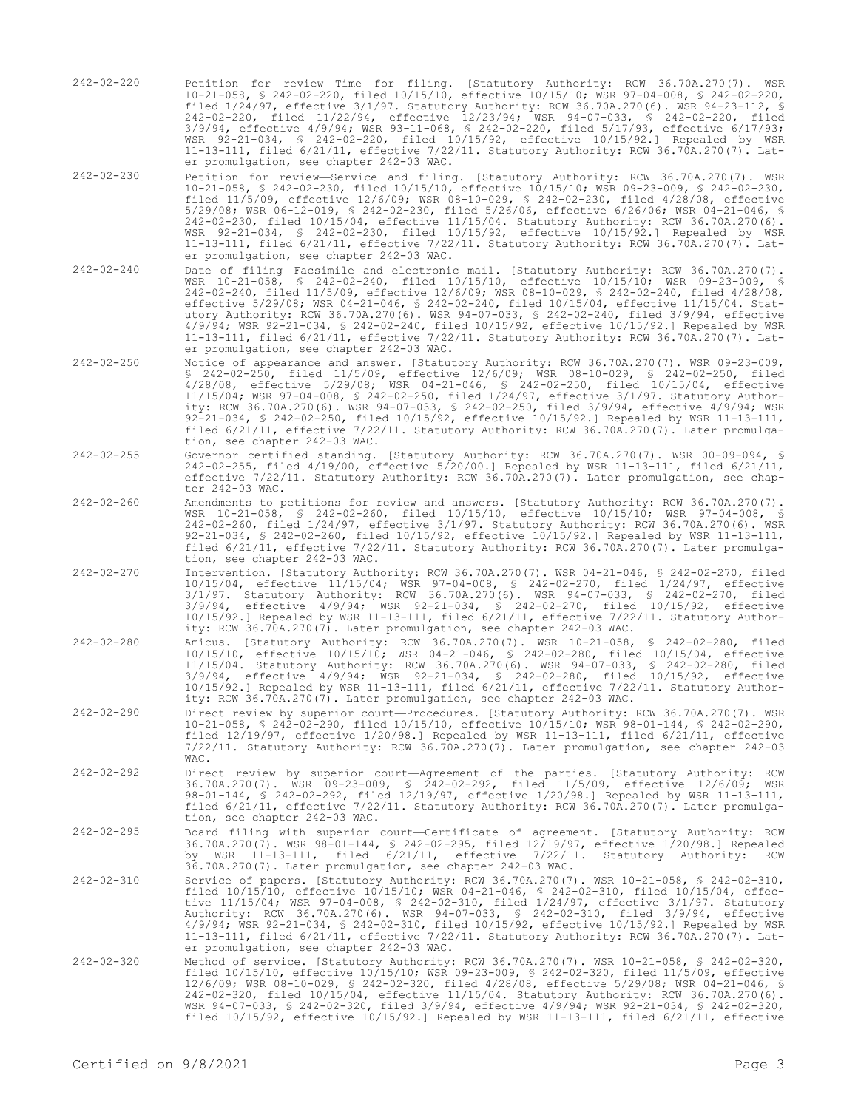- 242-02-220 Petition for review—Time for filing. [Statutory Authority: RCW 36.70A.270(7). WSR 10-21-058, § 242-02-220, filed 10/15/10, effective 10/15/10; WSR 97-04-008, § 242-02-220, filed 1/24/97, effective 3/1/97. Statutory Authority: RCW 36.70A.270(6). WSR 94-23-112, § 242-02-220, filed 11/22/94, effective 12/23/94; WSR 94-07-033, § 242-02-220, filed 3/9/94, effective 4/9/94; WSR 93-11-068, § 242-02-220, filed 5/17/93, effective 6/17/93; WSR 92-21-034, § 242-02-220, filed 10/15/92, effective 10/15/92.] Repealed by WSR 11-13-111, filed 6/21/11, effective 7/22/11. Statutory Authority: RCW 36.70A.270(7). Later promulgation, see chapter 242-03 WAC.
- 242-02-230 Petition for review—Service and filing. [Statutory Authority: RCW 36.70A.270(7). WSR 10-21-058, § 242-02-230, filed 10/15/10, effective 10/15/10; WSR 09-23-009, § 242-02-230, filed 11/5/09, effective 12/6/09; WSR 08-10-029, § 242-02-230, filed 4/28/08, effective 5/29/08; WSR 06-12-019, § 242-02-230, filed 5/26/06, effective 6/26/06; WSR 04-21-046, § 242-02-230, filed 10/15/04, effective 11/15/04. Statutory Authority: RCW 36.70A.270(6). WSR 92-21-034, § 242-02-230, filed 10/15/92, effective 10/15/92.] Repealed by WSR 11-13-111, filed 6/21/11, effective 7/22/11. Statutory Authority: RCW 36.70A.270(7). Later promulgation, see chapter 242-03 WAC.
- 242-02-240 Date of filing—Facsimile and electronic mail. [Statutory Authority: RCW 36.70A.270(7). WSR 10-21-058, § 242-02-240, filed 10/15/10, effective 10/15/10; WSR 09-23-009, § 242-02-240, filed 11/5/09, effective 12/6/09; WSR 08-10-029, § 242-02-240, filed 4/28/08, effective 5/29/08; WSR 04-21-046, § 242-02-240, filed 10/15/04, effective 11/15/04. Statutory Authority: RCW 36.70A.270(6). WSR 94-07-033, § 242-02-240, filed 3/9/94, effective 4/9/94; WSR 92-21-034, § 242-02-240, filed 10/15/92, effective 10/15/92.] Repealed by WSR 11-13-111, filed 6/21/11, effective 7/22/11. Statutory Authority: RCW 36.70A.270(7). Later promulgation, see chapter 242-03 WAC.
- 242-02-250 Notice of appearance and answer. [Statutory Authority: RCW 36.70A.270(7). WSR 09-23-009, § 242-02-250, filed 11/5/09, effective 12/6/09; WSR 08-10-029, § 242-02-250, filed 4/28/08, effective 5/29/08; WSR 04-21-046, § 242-02-250, filed 10/15/04, effective 11/15/04; WSR 97-04-008, § 242-02-250, filed 1/24/97, effective 3/1/97. Statutory Authority: RCW 36.70A.270(6). WSR 94-07-033, § 242-02-250, filed 3/9/94, effective 4/9/94; WSR 92-21-034, § 242-02-250, filed 10/15/92, effective 10/15/92.] Repealed by WSR 11-13-111, filed 6/21/11, effective 7/22/11. Statutory Authority: RCW 36.70A.270(7). Later promulgation, see chapter 242-03 WAC.
- 242-02-255 Governor certified standing. [Statutory Authority: RCW 36.70A.270(7). WSR 00-09-094, § 242-02-255, filed 4/19/00, effective 5/20/00.] Repealed by WSR 11-13-111, filed 6/21/11, effective 7/22/11. Statutory Authority: RCW 36.70A.270(7). Later promulgation, see chapter 242-03 WAC.
- 242-02-260 Amendments to petitions for review and answers. [Statutory Authority: RCW 36.70A.270(7). WSR 10-21-058, § 242-02-260, filed 10/15/10, effective 10/15/10; WSR 97-04-008, § 242-02-260, filed 1/24/97, effective 3/1/97. Statutory Authority: RCW 36.70A.270(6). WSR 92-21-034, § 242-02-260, filed 10/15/92, effective 10/15/92.] Repealed by WSR 11-13-111, filed 6/21/11, effective 7/22/11. Statutory Authority: RCW 36.70A.270(7). Later promulgation, see chapter 242-03 WAC.
- 242-02-270 Intervention. [Statutory Authority: RCW 36.70A.270(7). WSR 04-21-046, § 242-02-270, filed 10/15/04, effective 11/15/04; WSR 97-04-008, § 242-02-270, filed 1/24/97, effective 3/1/97. Statutory Authority: RCW 36.70A.270(6). WSR 94-07-033, § 242-02-270, filed 3/9/94, effective 4/9/94; WSR 92-21-034, § 242-02-270, filed 10/15/92, effective 10/15/92.] Repealed by WSR 11-13-111, filed 6/21/11, effective 7/22/11. Statutory Authority: RCW 36.70A.270(7). Later promulgation, see chapter 242-03 WAC.
- 242-02-280 Amicus. [Statutory Authority: RCW 36.70A.270(7). WSR 10-21-058, § 242-02-280, filed 10/15/10, effective 10/15/10; WSR 04-21-046, § 242-02-280, filed 10/15/04, effective 11/15/04. Statutory Authority: RCW 36.70A.270(6). WSR 94-07-033, § 242-02-280, filed 3/9/94, effective 4/9/94; WSR 92-21-034, § 242-02-280, filed 10/15/92, effective 10/15/92.] Repealed by WSR 11-13-111, filed 6/21/11, effective 7/22/11. Statutory Authority: RCW 36.70A.270(7). Later promulgation, see chapter 242-03 WAC.
- 242-02-290 Direct review by superior court—Procedures. [Statutory Authority: RCW 36.70A.270(7). WSR 10-21-058, § 242-02-290, filed 10/15/10, effective 10/15/10; WSR 98-01-144, § 242-02-290, filed 12/19/97, effective 1/20/98.] Repealed by WSR 11-13-111, filed 6/21/11, effective 7/22/11. Statutory Authority: RCW 36.70A.270(7). Later promulgation, see chapter 242-03 WAC.
- 242-02-292 Direct review by superior court—Agreement of the parties. [Statutory Authority: RCW 36.70A.270(7). WSR 09-23-009, § 242-02-292, filed 11/5/09, effective 12/6/09; WSR 98-01-144, § 242-02-292, filed 12/19/97, effective 1/20/98.] Repealed by WSR 11-13-111, filed 6/21/11, effective 7/22/11. Statutory Authority: RCW 36.70A.270(7). Later promulgation, see chapter 242-03 WAC.
- 242-02-295 Board filing with superior court—Certificate of agreement. [Statutory Authority: RCW 36.70A.270(7). WSR 98-01-144, § 242-02-295, filed 12/19/97, effective 1/20/98.] Repealed by WSR 11-13-111, filed 6/21/11, effective 7/22/11. Statutory Authority: RCW 36.70A.270(7). Later promulgation, see chapter 242-03 WAC.
- 242-02-310 Service of papers. [Statutory Authority: RCW 36.70A.270(7). WSR 10-21-058, § 242-02-310, filed 10/15/10, effective 10/15/10; WSR 04-21-046, § 242-02-310, filed 10/15/04, effective 11/15/04; WSR 97-04-008, § 242-02-310, filed 1/24/97, effective 3/1/97. Statutory Authority: RCW 36.70A.270(6). WSR 94-07-033, § 242-02-310, filed 3/9/94, effective<br>4/9/94; WSR 92-21-034, § 242-02-310, filed 10/15/92, effective 10/15/92.] Repealed by WSR<br>11-13-111, filed 6/21/11, effective 7/22/11. Stat er promulgation, see chapter 242-03 WAC.
- 242-02-320 Method of service. [Statutory Authority: RCW 36.70A.270(7). WSR 10-21-058, § 242-02-320, filed 10/15/10, effective 10/15/10; WSR 09-23-009, § 242-02-320, filed 11/5/09, effective 12/6/09; WSR 08-10-029, § 242-02-320, filed 4/28/08, effective 5/29/08; WSR 04-21-046, § 242-02-320, filed 10/15/04, effective 11/15/04. Statutory Authority: RCW 36.70A.270(6). WSR 94-07-033, § 242-02-320, filed 3/9/94, effective 4/9/94; WSR 92-21-034, § 242-02-320, filed 10/15/92, effective 10/15/92.] Repealed by WSR 11-13-111, filed 6/21/11, effective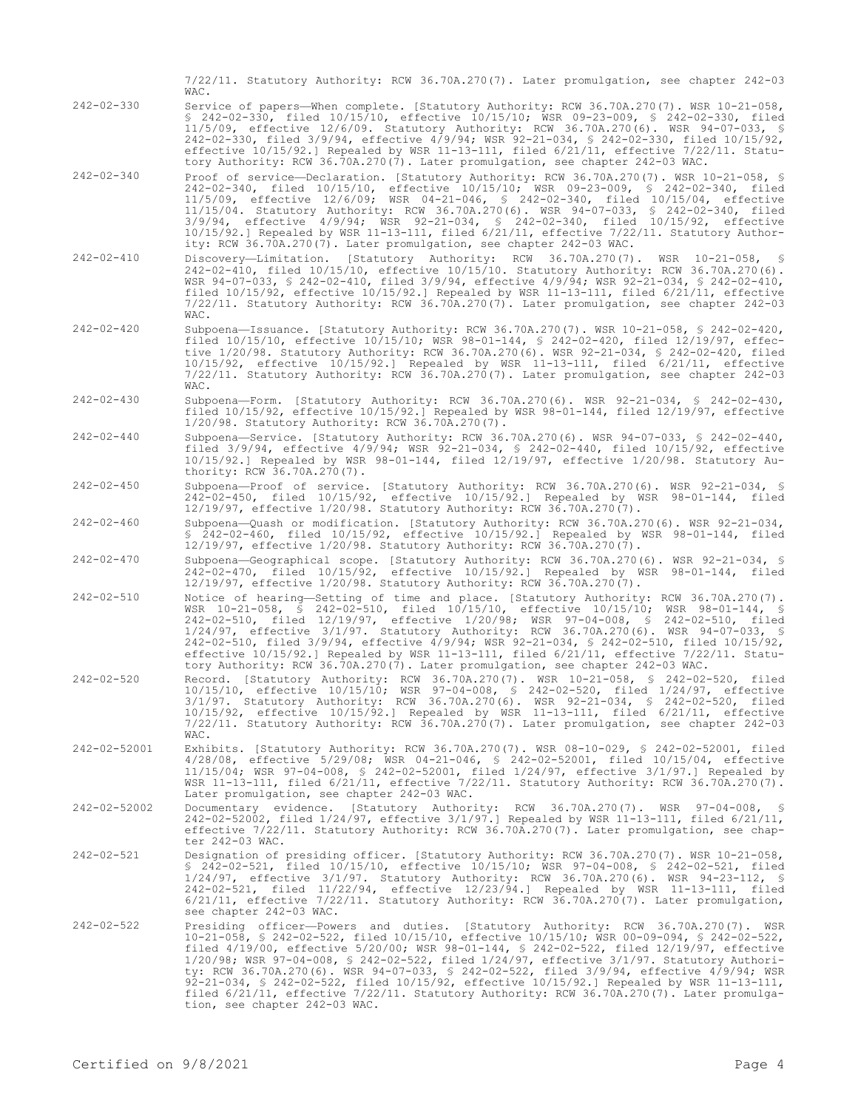|                    | 7/22/11. Statutory Authority: RCW 36.70A.270(7). Later promulgation, see chapter 242-03<br>WAC.                                                                                                                                                                                                                                                                                                                                                                                                                                                                                                                                                                                                                        |
|--------------------|------------------------------------------------------------------------------------------------------------------------------------------------------------------------------------------------------------------------------------------------------------------------------------------------------------------------------------------------------------------------------------------------------------------------------------------------------------------------------------------------------------------------------------------------------------------------------------------------------------------------------------------------------------------------------------------------------------------------|
| $242 - 02 - 330$   | Service of papers—When complete. [Statutory Authority: RCW 36.70A.270(7). WSR 10-21-058,<br>\$ 242-02-330, filed 10/15/10, effective 10/15/10; WSR 09-23-009, \$ 242-02-330, filed<br>11/5/09, effective 12/6/09. Statutory Authority: RCW 36.70A.270(6). WSR 94-07-033, §<br>242-02-330, filed 3/9/94, effective 4/9/94; WSR 92-21-034, § 242-02-330, filed 10/15/92,<br>effective $10/15/92$ . Repealed by WSR 11-13-111, filed $6/21/11$ , effective $7/22/11$ . Statu-<br>tory Authority: RCW 36.70A.270(7). Later promulgation, see chapter 242-03 WAC.                                                                                                                                                           |
| $242 - 02 - 340$   | Proof of service—Declaration. [Statutory Authority: RCW 36.70A.270(7). WSR 10-21-058, §<br>242-02-340, filed 10/15/10, effective 10/15/10; WSR 09-23-009, § 242-02-340, filed<br>11/5/09, effective 12/6/09; WSR 04-21-046, § 242-02-340, filed 10/15/04, effective<br>11/15/04. Statutory Authority: RCW 36.70A.270(6). WSR 94-07-033, § 242-02-340, filed<br>3/9/94, effective 4/9/94; WSR 92-21-034, § 242-02-340, filed 10/15/92, effective<br>$10/15/92$ .] Repealed by WSR 11-13-111, filed $6/21/11$ , effective $7/22/11$ . Statutory Author-<br>ity: RCW 36.70A.270(7). Later promulgation, see chapter 242-03 WAC.                                                                                           |
| $242 - 02 - 410$   | Discovery-Limitation. [Statutory Authority: RCW 36.70A.270(7). WSR 10-21-058, §<br>242-02-410, filed 10/15/10, effective 10/15/10. Statutory Authority: RCW 36.70A.270(6).<br>WSR 94-07-033, § 242-02-410, filed 3/9/94, effective 4/9/94; WSR 92-21-034, § 242-02-410,<br>filed $10/15/92$ , effective $10/15/92$ . Repealed by WSR 11-13-111, filed $6/21/11$ , effective<br>7/22/11. Statutory Authority: RCW 36.70A.270(7). Later promulgation, see chapter 242-03<br>WAC.                                                                                                                                                                                                                                         |
| $242 - 02 - 420$   | Subpoena-Issuance. [Statutory Authority: RCW 36.70A.270(7). WSR 10-21-058, § 242-02-420,<br>filed $10/15/10$ , effective $10/15/10$ ; WSR 98-01-144, § 242-02-420, filed $12/19/97$ , effec-<br>tive 1/20/98. Statutory Authority: RCW 36.70A.270(6). WSR 92-21-034, § 242-02-420, filed<br>$10/15/92$ , effective $10/15/92$ . Repealed by WSR 11-13-111, filed $6/21/11$ , effective<br>7/22/11. Statutory Authority: RCW 36.70A.270(7). Later promulgation, see chapter 242-03<br>WAC.                                                                                                                                                                                                                              |
| $242 - 02 - 430$   | Subpoena-Form. [Statutory Authority: RCW 36.70A.270(6). WSR 92-21-034, § 242-02-430,<br>filed $10/15/92$ , effective $10/15/92$ . Repealed by WSR $98-01-144$ , filed $12/19/97$ , effective<br>$1/20/98$ . Statutory Authority: RCW 36.70A.270(7).                                                                                                                                                                                                                                                                                                                                                                                                                                                                    |
| $242 - 02 - 440$   | Subpoena-Service. [Statutory Authority: RCW 36.70A.270(6). WSR 94-07-033, § 242-02-440,<br>filed 3/9/94, effective 4/9/94; WSR 92-21-034, § 242-02-440, filed 10/15/92, effective<br>$10/15/92$ .] Repealed by WSR 98-01-144, filed $12/19/97$ , effective $1/20/98$ . Statutory Au-<br>thority: RCW 36.70A.270(7).                                                                                                                                                                                                                                                                                                                                                                                                    |
| $242 - 02 - 450$   | Subpoena-Proof of service. [Statutory Authority: RCW 36.70A.270(6). WSR 92-21-034, §<br>242-02-450, filed 10/15/92, effective 10/15/92.] Repealed by WSR 98-01-144, filed<br>12/19/97, effective 1/20/98. Statutory Authority: RCW 36.70A.270(7).                                                                                                                                                                                                                                                                                                                                                                                                                                                                      |
| $242 - 02 - 460$   | Subpoena-Quash or modification. [Statutory Authority: RCW 36.70A.270(6). WSR 92-21-034,<br>$$242-02-460$ , filed $10/15/92$ , effective $10/15/92$ . Repealed by WSR 98-01-144, filed<br>12/19/97, effective 1/20/98. Statutory Authority: RCW 36.70A.270(7).                                                                                                                                                                                                                                                                                                                                                                                                                                                          |
| $242 - 02 - 470$   | Subpoena-Geographical scope. [Statutory Authority: RCW 36.70A.270(6). WSR 92-21-034, §<br>242-02-470, filed 10/15/92, effective 10/15/92.] Repealed by WSR 98-01-144, filed<br>12/19/97, effective 1/20/98. Statutory Authority: RCW 36.70A.270(7).                                                                                                                                                                                                                                                                                                                                                                                                                                                                    |
| $242 - 02 - 510$   | Notice of hearing-Setting of time and place. [Statutory Authority: RCW 36.70A.270(7).<br>WSR 10-21-058, § 242-02-510, filed 10/15/10, effective 10/15/10; WSR 98-01-144, §<br>242-02-510, filed 12/19/97, effective 1/20/98; WSR 97-04-008, § 242-02-510, filed<br>1/24/97, effective 3/1/97. Statutory Authority: RCW 36.70A.270(6). WSR 94-07-033, §<br>242-02-510, filed 3/9/94, effective 4/9/94; WSR 92-21-034, § 242-02-510, filed 10/15/92,<br>effective $10/15/92$ . Repealed by WSR 11-13-111, filed $6/21/11$ , effective $7/22/11$ . Statu-<br>tory Authority: RCW 36.70A.270(7). Later promulgation, see chapter 242-03 WAC.                                                                               |
| $242 - 02 - 520$   | Record. [Statutory Authority: RCW 36.70A.270(7). WSR 10-21-058, § 242-02-520, filed<br>10/15/10, effective 10/15/10; WSR 97-04-008, § 242-02-520, filed 1/24/97, effective<br>3/1/97. Statutory Authority: RCW 36.70A.270(6). WSR 92-21-034, § 242-02-520, filed<br>$10/15/92$ , effective $10/15/92$ . Repealed by WSR 11-13-111, filed $6/21/11$ , effective<br>7/22/11. Statutory Authority: RCW 36.70A.270(7). Later promulgation, see chapter 242-03<br>WAC.                                                                                                                                                                                                                                                      |
| 242-02-52001       | Exhibits. [Statutory Authority: RCW 36.70A.270(7). WSR 08-10-029, § 242-02-52001, filed<br>4/28/08, effective 5/29/08; WSR 04-21-046, § 242-02-52001, filed 10/15/04, effective<br>$11/15/04$ ; WSR 97-04-008, § 242-02-52001, filed $1/24/97$ , effective $3/1/97$ . Repealed by<br>WSR 11-13-111, filed 6/21/11, effective 7/22/11. Statutory Authority: RCW 36.70A.270(7).<br>Later promulgation, see chapter 242-03 WAC.                                                                                                                                                                                                                                                                                           |
| $242 - 02 - 52002$ | Documentary evidence. [Statutory Authority: RCW 36.70A.270(7). WSR 97-04-008, §<br>242-02-52002, filed 1/24/97, effective 3/1/97.] Repealed by WSR 11-13-111, filed 6/21/11,<br>effective 7/22/11. Statutory Authority: RCW 36.70A.270(7). Later promulgation, see chap-<br>ter 242-03 WAC.                                                                                                                                                                                                                                                                                                                                                                                                                            |
| $242 - 02 - 521$   | Designation of presiding officer. [Statutory Authority: RCW 36.70A.270(7). WSR 10-21-058,<br>\$ 242-02-521, filed 10/15/10, effective 10/15/10; WSR 97-04-008, \$ 242-02-521, filed<br>$1/24/97$ , effective $3/1/97$ . Statutory Authority: RCW 36.70A.270(6). WSR 94-23-112, §<br>242-02-521, filed 11/22/94, effective 12/23/94.] Repealed by WSR 11-13-111, filed<br>$6/21/11$ , effective $7/22/11$ . Statutory Authority: RCW 36.70A.270(7). Later promulgation,<br>see chapter 242-03 WAC.                                                                                                                                                                                                                      |
| $242 - 02 - 522$   | Presiding officer-Powers and duties. [Statutory Authority: RCW 36.70A.270(7). WSR<br>10-21-058, § 242-02-522, filed 10/15/10, effective 10/15/10; WSR 00-09-094, § 242-02-522,<br>filed $4/19/00$ , effective $5/20/00$ ; WSR $98-01-144$ , $$ 242-02-522$ , filed $12/19/97$ , effective<br>1/20/98; WSR 97-04-008, § 242-02-522, filed 1/24/97, effective 3/1/97. Statutory Authori-<br>ty: RCW 36.70A.270(6). WSR 94-07-033, § 242-02-522, filed 3/9/94, effective 4/9/94; WSR<br>92-21-034, § 242-02-522, filed $10/15/92$ , effective $10/15/92$ . Repealed by WSR 11-13-111,<br>filed $6/21/11$ , effective $7/22/11$ . Statutory Authority: RCW 36.70A.270(7). Later promulga-<br>tion, see chapter 242-03 WAC. |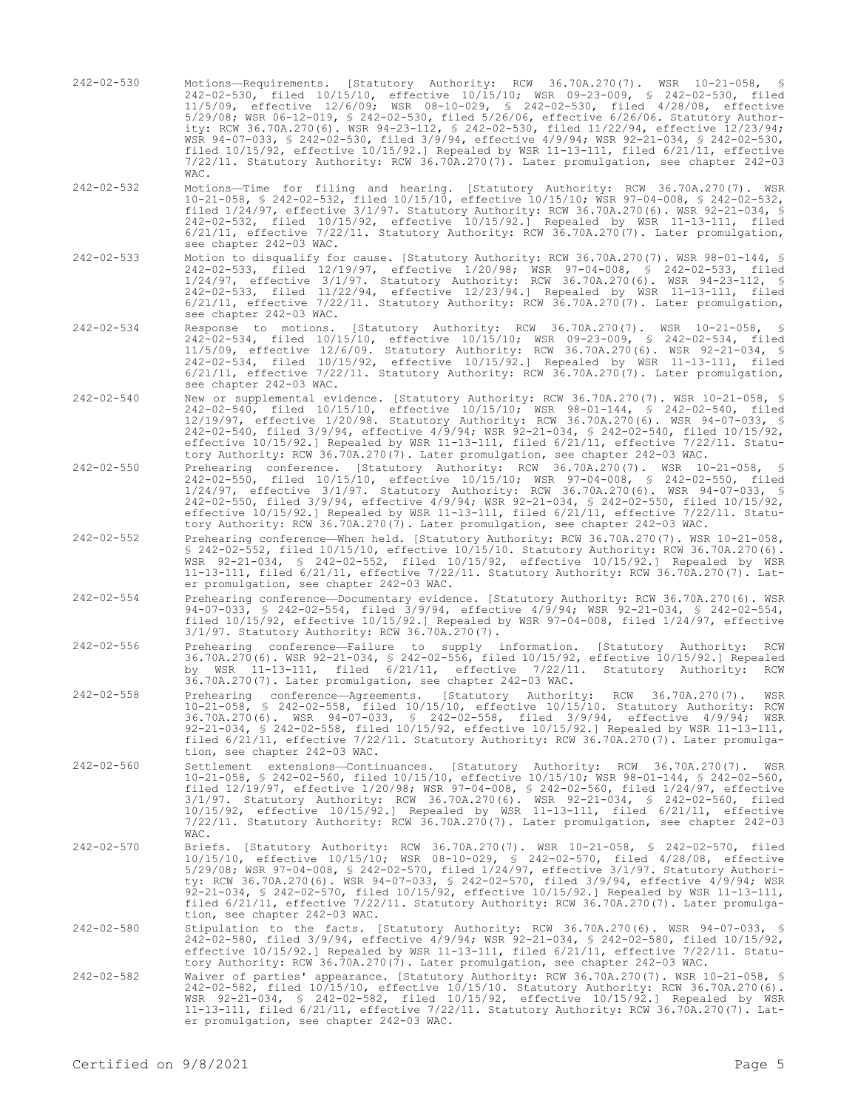- 242-02-530 Motions—Requirements. [Statutory Authority: RCW 36.70A.270(7). WSR 10-21-058, § 242-02-530, filed 10/15/10, effective 10/15/10; WSR 09-23-009, § 242-02-530, filed 11/5/09, effective 12/6/09; WSR 08-10-029, § 242-02-530, filed 4/28/08, effective 5/29/08; WSR 06-12-019, § 242-02-530, filed 5/26/06, effective 6/26/06. Statutory Authority: RCW 36.70A.270(6). WSR 94-23-112, § 242-02-530, filed 11/22/94, effective 12/23/94; WSR 94-07-033, § 242-02-530, filed 3/9/94, effective 4/9/94; WSR 92-21-034, § 242-02-530, filed 10/15/92, effective 10/15/92.] Repealed by WSR 11-13-111, filed 6/21/11, effective 7/22/11. Statutory Authority: RCW 36.70A.270(7). Later promulgation, see chapter 242-03 WAC.
- 242-02-532 Motions—Time for filing and hearing. [Statutory Authority: RCW 36.70A.270(7). WSR 10-21-058, § 242-02-532, filed 10/15/10, effective 10/15/10; WSR 97-04-008, § 242-02-532, filed 1/24/97, effective 3/1/97. Statutory Authority: RCW 36.70A.270(6). WSR 92-21-034, § 242-02-532, filed 10/15/92, effective 10/15/92.] Repealed by WSR 11-13-111, filed 6/21/11, effective 7/22/11. Statutory Authority: RCW 36.70A.270(7). Later promulgation, see chapter 242-03 WAC.
- 242-02-533 Motion to disqualify for cause. [Statutory Authority: RCW 36.70A.270(7). WSR 98-01-144, § 242-02-533, filed 12/19/97, effective 1/20/98; WSR 97-04-008, § 242-02-533, filed 1/24/97, effective 3/1/97. Statutory Authority: RCW 36.70A.270(6). WSR 94-23-112, § 242-02-533, filed 11/22/94, effective 12/23/94.] Repealed by WSR 11-13-111, filed 6/21/11, effective 7/22/11. Statutory Authority: RCW 36.70A.270(7). Later promulgation, see chapter 242-03 WAC.
- 242-02-534 Response to motions. [Statutory Authority: RCW 36.70A.270(7). WSR 10-21-058, § 242-02-534, filed 10/15/10, effective 10/15/10; WSR 09-23-009, § 242-02-534, filed 11/5/09, effective 12/6/09. Statutory Authority: RCW 36.70A.270(6). WSR 92-21-034, § 242-02-534, filed 10/15/92, effective 10/15/92.] Repealed by WSR 11-13-111, filed 6/21/11, effective 7/22/11. Statutory Authority: RCW 36.70A.270(7). Later promulgation, see chapter 242-03 WAC.
- 242-02-540 New or supplemental evidence. [Statutory Authority: RCW 36.70A.270(7). WSR 10-21-058, § 242-02-540, filed 10/15/10, effective 10/15/10; WSR 98-01-144, § 242-02-540, filed 12/19/97, effective 1/20/98. Statutory Authority: RCW 36.70A.270(6). WSR 94-07-033, § 242-02-540, filed 3/9/94, effective 4/9/94; WSR 92-21-034, § 242-02-540, filed 10/15/92, effective 10/15/92.] Repealed by WSR 11-13-111, filed 6/21/11, effective 7/22/11. Statutory Authority: RCW 36.70A.270(7). Later promulgation, see chapter 242-03 WAC.
- 242-02-550 Prehearing conference. [Statutory Authority: RCW 36.70A.270(7). WSR 10-21-058, § 242-02-550, filed 10/15/10, effective 10/15/10; WSR 97-04-008, § 242-02-550, filed 1/24/97, effective 3/1/97. Statutory Authority: RCW 36.70A.270(6). WSR 94-07-033, § 242-02-550, filed 3/9/94, effective 4/9/94; WSR 92-21-034, § 242-02-550, filed 10/15/92, effective 10/15/92.] Repealed by WSR 11-13-111, filed 6/21/11, effective 7/22/11. Statutory Authority: RCW 36.70A.270(7). Later promulgation, see chapter 242-03 WAC.
- 242-02-552 Prehearing conference—When held. [Statutory Authority: RCW 36.70A.270(7). WSR 10-21-058, § 242-02-552, filed 10/15/10, effective 10/15/10. Statutory Authority: RCW 36.70A.270(6). WSR 92-21-034, § 242-02-552, filed 10/15/92, effective 10/15/92.] Repealed by WSR 11-13-111, filed 6/21/11, effective 7/22/11. Statutory Authority: RCW 36.70A.270(7). Later promulgation, see chapter 242-03 WAC.
- 242-02-554 Prehearing conference—Documentary evidence. [Statutory Authority: RCW 36.70A.270(6). WSR 94-07-033, § 242-02-554, filed 3/9/94, effective 4/9/94; WSR 92-21-034, § 242-02-554, filed 10/15/92, effective 10/15/92.] Repealed by WSR 97-04-008, filed 1/24/97, effective 3/1/97. Statutory Authority: RCW 36.70A.270(7).
- 242-02-556 Prehearing conference—Failure to supply information. [Statutory Authority: RCW 36.70A.270(6). WSR 92-21-034, § 242-02-556, filed 10/15/92, effective 10/15/92.] Repealed by WSR 11-13-111, filed 6/21/11, effective 7/22/11. Statutory Authority: RCW 36.70A.270(7). Later promulgation, see chapter 242-03 WAC.
- 242-02-558 Prehearing conference—Agreements. [Statutory Authority: RCW 36.70A.270(7). WSR 10-21-058, § 242-02-558, filed 10/15/10, effective 10/15/10. Statutory Authority: RCW 36.70A.270(6). WSR 94-07-033, § 242-02-558, filed 3/9/94, effective 4/9/94; WSR 92-21-034, § 242-02-558, filed 10/15/92, effective 10/15/92.] Repealed by WSR 11-13-111, filed 6/21/11, effective 7/22/11. Statutory Authority: RCW 36.70A.270(7). Later promulgation, see chapter 242-03 WAC.
- 242-02-560 Settlement extensions—Continuances. [Statutory Authority: RCW 36.70A.270(7). WSR 10-21-058, § 242-02-560, filed 10/15/10, effective 10/15/10; WSR 98-01-144, § 242-02-560, filed 12/19/97, effective 1/20/98; WSR 97-04-008, § 242-02-560, filed 1/24/97, effective 3/1/97. Statutory Authority: RCW 36.70A.270(6). WSR 92-21-034, § 242-02-560, filed 10/15/92, effective 10/15/92.] Repealed by WSR 11-13-111, filed 6/21/11, effective 7/22/11. Statutory Authority: RCW 36.70A.270(7). Later promulgation, see chapter 242-03 WAC.
- 242-02-570 Briefs. [Statutory Authority: RCW 36.70A.270(7). WSR 10-21-058, § 242-02-570, filed 10/15/10, effective 10/15/10; WSR 08-10-029, § 242-02-570, filed 4/28/08, effective 5/29/08; WSR 97-04-008, § 242-02-570, filed 1/24/97, effective 3/1/97. Statutory Authority: RCW 36.70A.270(6). WSR 94-07-033, § 242-02-570, filed 3/9/94, effective 4/9/94; WSR 92-21-034, § 242-02-570, filed 10/15/92, effective 10/15/92.] Repealed by WSR 11-13-111, filed 6/21/11, effective 7/22/11. Statutory Authority: RCW 36.70A.270(7). Later promulgation, see chapter 242-03 WAC.
- 242-02-580 Stipulation to the facts. [Statutory Authority: RCW 36.70A.270(6). WSR 94-07-033, § 242-02-580, filed 3/9/94, effective 4/9/94; WSR 92-21-034, § 242-02-580, filed 10/15/92, effective 10/15/92.] Repealed by WSR 11-13-111, filed 6/21/11, effective 7/22/11. Statutory Authority: RCW 36.70A.270(7). Later promulgation, see chapter 242-03 WAC.
- 242-02-582 Waiver of parties' appearance. [Statutory Authority: RCW 36.70A.270(7). WSR 10-21-058, § 242-02-582, filed 10/15/10, effective 10/15/10. Statutory Authority: RCW 36.70A.270(6). WSR 92-21-034, § 242-02-582, filed 10/15/92, effective 10/15/92.] Repealed by WSR 11-13-111, filed 6/21/11, effective 7/22/11. Statutory Authority: RCW 36.70A.270(7). Later promulgation, see chapter 242-03 WAC.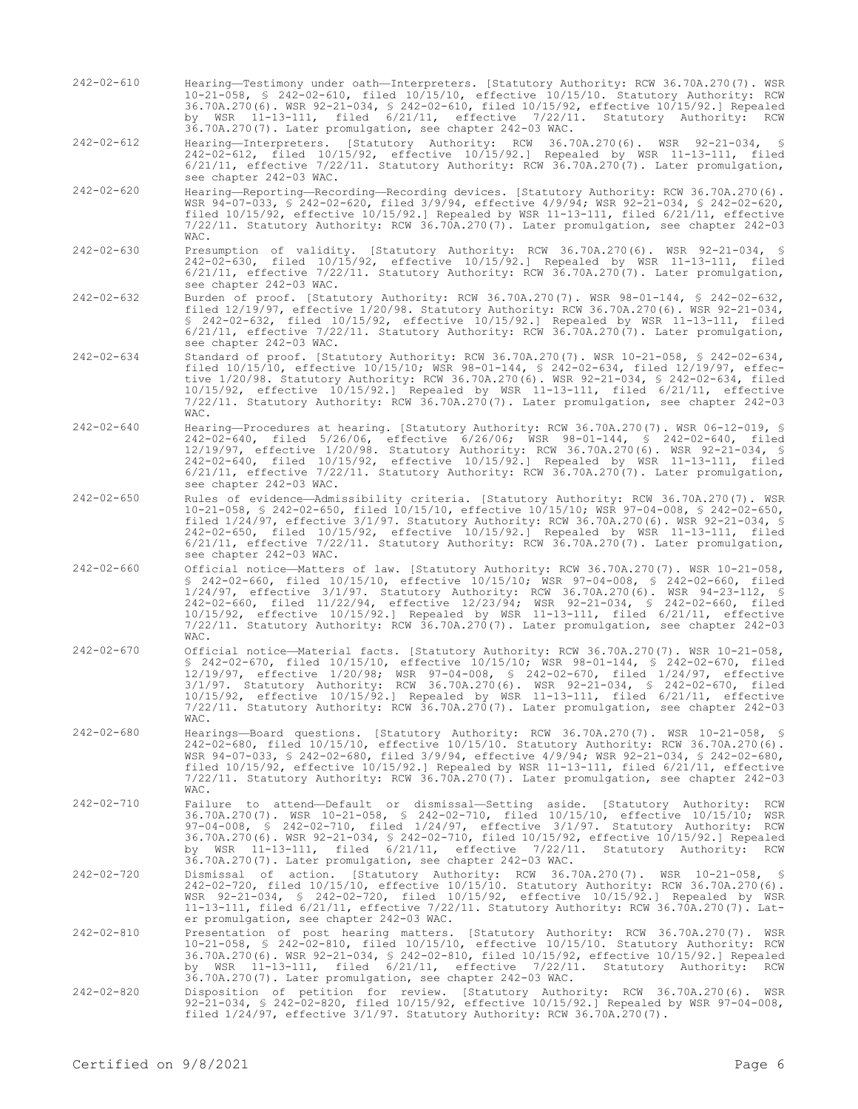242-02-610 Hearing—Testimony under oath—Interpreters. [Statutory Authority: RCW 36.70A.270(7). WSR 10-21-058, § 242-02-610, filed 10/15/10, effective 10/15/10. Statutory Authority: RCW 36.70A.270(6). WSR 92-21-034, § 242-02-610, filed 10/15/92, effective 10/15/92.] Repealed by WSR 11-13-111, filed 6/21/11, effective 7/22/11. Statutory Authority: RCW 36.70A.270(7). Later promulgation, see chapter 242-03 WAC.

242-02-612 Hearing—Interpreters. [Statutory Authority: RCW 36.70A.270(6). WSR 92-21-034, § 242-02-612, filed 10/15/92, effective 10/15/92.] Repealed by WSR 11-13-111, filed 6/21/11, effective 7/22/11. Statutory Authority: RCW 36.70A.270(7). Later promulgation, see chapter 242-03 WAC.

242-02-620 Hearing—Reporting—Recording—Recording devices. [Statutory Authority: RCW 36.70A.270(6). WSR 94-07-033, § 242-02-620, filed 3/9/94, effective 4/9/94; WSR 92-21-034, § 242-02-620, filed 10/15/92, effective 10/15/92.] Repealed by WSR 11-13-111, filed 6/21/11, effective 7/22/11. Statutory Authority: RCW 36.70A.270(7). Later promulgation, see chapter 242-03 WAC.

- 242-02-630 Presumption of validity. [Statutory Authority: RCW 36.70A.270(6). WSR 92-21-034, § 242-02-630, filed 10/15/92, effective 10/15/92.] Repealed by WSR 11-13-111, filed 6/21/11, effective 7/22/11. Statutory Authority: RCW 36.70A.270(7). Later promulgation, see chapter 242-03 WAC.
- 242-02-632 Burden of proof. [Statutory Authority: RCW 36.70A.270(7). WSR 98-01-144, § 242-02-632, filed 12/19/97, effective 1/20/98. Statutory Authority: RCW 36.70A.270(6). WSR 92-21-034, § 242-02-632, filed 10/15/92, effective 10/15/92.] Repealed by WSR 11-13-111, filed 6/21/11, effective 7/22/11. Statutory Authority: RCW 36.70A.270(7). Later promulgation, see chapter 242-03 WAC.
- 242-02-634 Standard of proof. [Statutory Authority: RCW 36.70A.270(7). WSR 10-21-058, § 242-02-634, filed 10/15/10, effective 10/15/10; WSR 98-01-144, § 242-02-634, filed 12/19/97, effective 1/20/98. Statutory Authority: RCW 36.70A.270(6). WSR 92-21-034, § 242-02-634, filed 10/15/92, effective 10/15/92.] Repealed by WSR 11-13-111, filed 6/21/11, effective 7/22/11. Statutory Authority: RCW 36.70A.270(7). Later promulgation, see chapter 242-03 WAC.
- 242-02-640 Hearing—Procedures at hearing. [Statutory Authority: RCW 36.70A.270(7). WSR 06-12-019, § 242-02-640, filed 5/26/06, effective 6/26/06; WSR 98-01-144, § 242-02-640, filed 12/19/97, effective 1/20/98. Statutory Authority: RCW 36.70A.270(6). WSR 92-21-034, § 242-02-640, filed 10/15/92, effective 10/15/92.] Repealed by WSR 11-13-111, filed 6/21/11, effective 7/22/11. Statutory Authority: RCW 36.70A.270(7). Later promulgation, see chapter 242-03 WAC.
- 242-02-650 Rules of evidence—Admissibility criteria. [Statutory Authority: RCW 36.70A.270(7). WSR 10-21-058, § 242-02-650, filed 10/15/10, effective 10/15/10; WSR 97-04-008, § 242-02-650, filed 1/24/97, effective 3/1/97. Statutory Authority: RCW 36.70A.270(6). WSR 92-21-034, § 242-02-650, filed 10/15/92, effective 10/15/92.] Repealed by WSR 11-13-111, filed 6/21/11, effective 7/22/11. Statutory Authority: RCW 36.70A.270(7). Later promulgation, see chapter 242-03 WAC.
- 242-02-660 Official notice—Matters of law. [Statutory Authority: RCW 36.70A.270(7). WSR 10-21-058, § 242-02-660, filed 10/15/10, effective 10/15/10; WSR 97-04-008, § 242-02-660, filed 1/24/97, effective 3/1/97. Statutory Authority: RCW 36.70A.270(6). WSR 94-23-112, § 242-02-660, filed 11/22/94, effective 12/23/94; WSR 92-21-034, § 242-02-660, filed 10/15/92, effective 10/15/92.] Repealed by WSR 11-13-111, filed 6/21/11, effective 7/22/11. Statutory Authority: RCW 36.70A.270(7). Later promulgation, see chapter 242-03 WAC.
- 242-02-670 Official notice—Material facts. [Statutory Authority: RCW 36.70A.270(7). WSR 10-21-058, § 242-02-670, filed 10/15/10, effective 10/15/10; WSR 98-01-144, § 242-02-670, filed 12/19/97, effective 1/20/98; WSR 97-04-008, § 242-02-670, filed 1/24/97, effective 3/1/97. Statutory Authority: RCW 36.70A.270(6). WSR 92-21-034, § 242-02-670, filed 10/15/92, effective 10/15/92.] Repealed by WSR 11-13-111, filed 6/21/11, effective 7/22/11. Statutory Authority: RCW 36.70A.270(7). Later promulgation, see chapter 242-03 WAC.
- 242-02-680 Hearings—Board questions. [Statutory Authority: RCW 36.70A.270(7). WSR 10-21-058, § 242-02-680, filed 10/15/10, effective 10/15/10. Statutory Authority: RCW 36.70A.270(6). WSR 94-07-033, § 242-02-680, filed 3/9/94, effective 4/9/94; WSR 92-21-034, § 242-02-680, filed 10/15/92, effective 10/15/92.] Repealed by WSR 11-13-111, filed 6/21/11, effective 7/22/11. Statutory Authority: RCW 36.70A.270(7). Later promulgation, see chapter 242-03 WAC.
- 242-02-710 Failure to attend—Default or dismissal—Setting aside. [Statutory Authority: RCW 36.70A.270(7). WSR 10-21-058, § 242-02-710, filed 10/15/10, effective 10/15/10; WSR 97-04-008, § 242-02-710, filed 1/24/97, effective 3/1/97. Statutory Authority: RCW 36.70A.270(6). WSR 92-21-034, § 242-02-710, filed 10/15/92, effective 10/15/92.] Repealed by WSR 11-13-111, filed 6/21/11, effective 7/22/11. Statutory Authority: RCW 36.70A.270(7). Later promulgation, see chapter 242-03 WAC.
- 242-02-720 Dismissal of action. [Statutory Authority: RCW 36.70A.270(7). WSR 10-21-058, § 242-02-720, filed 10/15/10, effective 10/15/10. Statutory Authority: RCW 36.70A.270(6). WSR 92-21-034, § 242-02-720, filed 10/15/92, effective 10/15/92.] Repealed by WSR 11-13-111, filed 6/21/11, effective 7/22/11. Statutory Authority: RCW 36.70A.270(7). Later promulgation, see chapter 242-03 WAC.
- 242-02-810 Presentation of post hearing matters. [Statutory Authority: RCW 36.70A.270(7). WSR 10-21-058, § 242-02-810, filed 10/15/10, effective 10/15/10. Statutory Authority: RCW 36.70A.270(6). WSR 92-21-034, § 242-02-810, filed 10/15/92, effective 10/15/92.] Repealed by WSR 11-13-111, filed 6/21/11, effective 7/22/11. Statutory Authority: RCW 36.70A.270(7). Later promulgation, see chapter 242-03 WAC.
- 242-02-820 Disposition of petition for review. [Statutory Authority: RCW 36.70A.270(6). WSR 92-21-034, § 242-02-820, filed 10/15/92, effective 10/15/92.] Repealed by WSR 97-04-008, filed 1/24/97, effective 3/1/97. Statutory Authority: RCW 36.70A.270(7).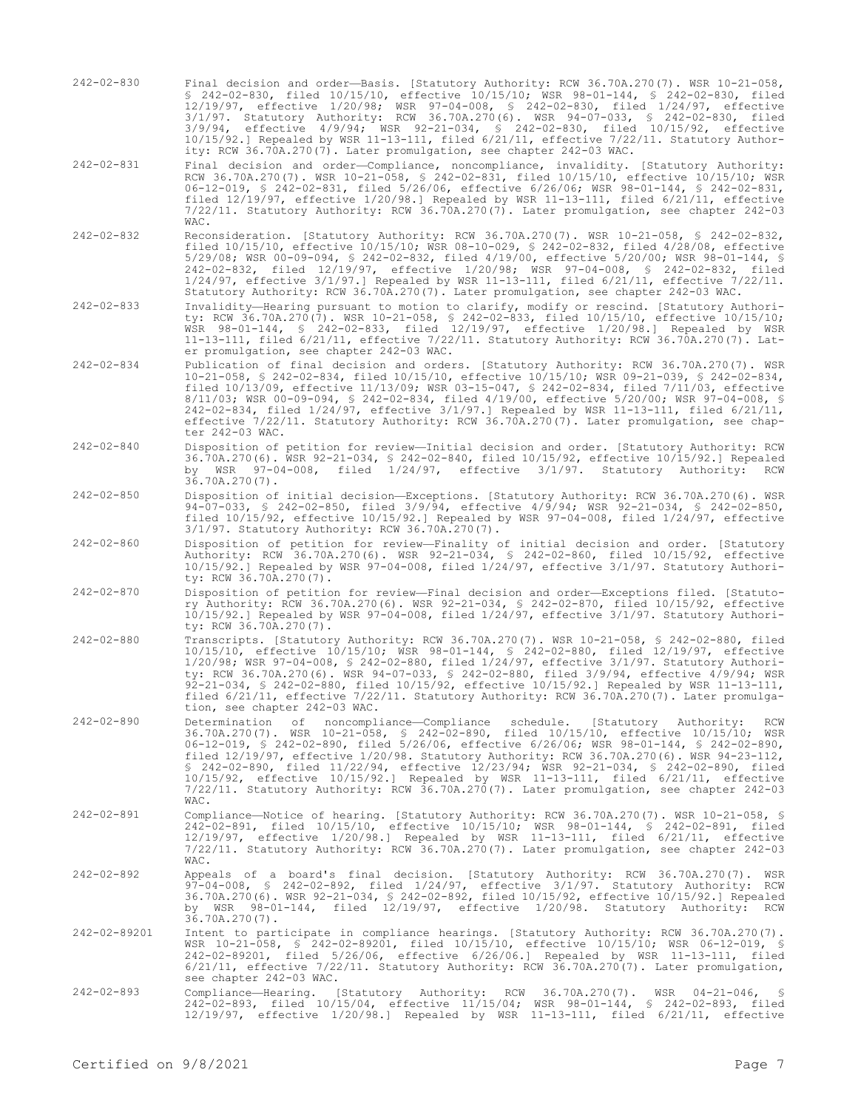- 242-02-830 Final decision and order—Basis. [Statutory Authority: RCW 36.70A.270(7). WSR 10-21-058, § 242-02-830, filed 10/15/10, effective 10/15/10; WSR 98-01-144, § 242-02-830, filed 12/19/97, effective 1/20/98; WSR 97-04-008, § 242-02-830, filed 1/24/97, effective 3/1/97. Statutory Authority: RCW 36.70A.270(6). WSR 94-07-033, § 242-02-830, filed 3/9/94, effective 4/9/94; WSR 92-21-034, § 242-02-830, filed 10/15/92, effective 10/15/92.] Repealed by WSR 11-13-111, filed 6/21/11, effective 7/22/11. Statutory Authority: RCW 36.70A.270(7). Later promulgation, see chapter 242-03 WAC.
- 242-02-831 Final decision and order—Compliance, noncompliance, invalidity. [Statutory Authority: RCW 36.70A.270(7). WSR 10-21-058, § 242-02-831, filed 10/15/10, effective 10/15/10; WSR 06-12-019, § 242-02-831, filed 5/26/06, effective 6/26/06; WSR 98-01-144, § 242-02-831, filed 12/19/97, effective 1/20/98.] Repealed by WSR 11-13-111, filed 6/21/11, effective 7/22/11. Statutory Authority: RCW 36.70A.270(7). Later promulgation, see chapter 242-03 WAC.
- 242-02-832 Reconsideration. [Statutory Authority: RCW 36.70A.270(7). WSR 10-21-058, § 242-02-832, filed 10/15/10, effective 10/15/10; WSR 08-10-029, § 242-02-832, filed 4/28/08, effective 5/29/08; WSR 00-09-094, § 242-02-832, filed 4/19/00, effective 5/20/00; WSR 98-01-144, § 242-02-832, filed 12/19/97, effective 1/20/98; WSR 97-04-008, § 242-02-832, filed 1/24/97, effective 3/1/97.] Repealed by WSR 11-13-111, filed 6/21/11, effective 7/22/11. Statutory Authority: RCW 36.70A.270(7). Later promulgation, see chapter 242-03 WAC.
- 242-02-833 Invalidity—Hearing pursuant to motion to clarify, modify or rescind. [Statutory Authority: RCW 36.70A.270(7). WSR 10-21-058, § 242-02-833, filed 10/15/10, effective 10/15/10; WSR 98-01-144, § 242-02-833, filed 12/19/97, effective 1/20/98.] Repealed by WSR 11-13-111, filed 6/21/11, effective 7/22/11. Statutory Authority: RCW 36.70A.270(7). Later promulgation, see chapter 242-03 WAC.
- 242-02-834 Publication of final decision and orders. [Statutory Authority: RCW 36.70A.270(7). WSR 10-21-058, § 242-02-834, filed 10/15/10, effective 10/15/10; WSR 09-21-039, § 242-02-834, filed 10/13/09, effective 11/13/09; WSR 03-15-047, § 242-02-834, filed 7/11/03, effective 8/11/03; WSR 00-09-094, § 242-02-834, filed 4/19/00, effective 5/20/00; WSR 97-04-008, § 242-02-834, filed 1/24/97, effective 3/1/97.] Repealed by WSR 11-13-111, filed 6/21/11, effective 7/22/11. Statutory Authority: RCW 36.70A.270(7). Later promulgation, see chapter 242-03 WAC.
- 242-02-840 Disposition of petition for review—Initial decision and order. [Statutory Authority: RCW 36.70A.270(6). WSR 92-21-034, § 242-02-840, filed 10/15/92, effective 10/15/92.] Repealed by WSR 97-04-008, filed 1/24/97, effective 3/1/97. Statutory Authority: RCW 36.70A.270(7).
- 242-02-850 Disposition of initial decision—Exceptions. [Statutory Authority: RCW 36.70A.270(6). WSR 94-07-033, § 242-02-850, filed 3/9/94, effective 4/9/94; WSR 92-21-034, § 242-02-850, filed 10/15/92, effective 10/15/92.] Repealed by WSR 97-04-008, filed 1/24/97, effective 3/1/97. Statutory Authority: RCW 36.70A.270(7).
- 242-02-860 Disposition of petition for review—Finality of initial decision and order. [Statutory Authority: RCW 36.70A.270(6). WSR 92-21-034, § 242-02-860, filed 10/15/92, effective 10/15/92.] Repealed by WSR 97-04-008, filed 1/24/97, effective 3/1/97. Statutory Authority: RCW 36.70A.270(7).
- 242-02-870 Disposition of petition for review—Final decision and order—Exceptions filed. [Statutory Authority: RCW 36.70A.270(6). WSR 92-21-034, § 242-02-870, filed 10/15/92, effective 10/15/92.] Repealed by WSR 97-04-008, filed 1/24/97, effective 3/1/97. Statutory Authority: RCW 36.70A.270(7).
- 242-02-880 Transcripts. [Statutory Authority: RCW 36.70A.270(7). WSR 10-21-058, § 242-02-880, filed 10/15/10, effective 10/15/10; WSR 98-01-144, § 242-02-880, filed 12/19/97, effective 1/20/98; WSR 97-04-008, § 242-02-880, filed 1/24/97, effective 3/1/97. Statutory Authority: RCW 36.70A.270(6). WSR 94-07-033, § 242-02-880, filed 3/9/94, effective 4/9/94; WSR 92-21-034, § 242-02-880, filed 10/15/92, effective 10/15/92.] Repealed by WSR 11-13-111, filed 6/21/11, effective 7/22/11. Statutory Authority: RCW 36.70A.270(7). Later promulgation, see chapter 242-03 WAC.
- 242-02-890 Determination of noncompliance—Compliance schedule. [Statutory Authority: RCW 36.70A.270(7). WSR 10-21-058, § 242-02-890, filed 10/15/10, effective 10/15/10; WSR 06-12-019, § 242-02-890, filed 5/26/06, effective 6/26/06; WSR 98-01-144, § 242-02-890, filed 12/19/97, effective 1/20/98. Statutory Authority: RCW 36.70A.270(6). WSR 94-23-112, § 242-02-890, filed 11/22/94, effective 12/23/94; WSR 92-21-034, § 242-02-890, filed 10/15/92, effective 10/15/92.] Repealed by WSR 11-13-111, filed 6/21/11, effective 7/22/11. Statutory Authority: RCW 36.70A.270(7). Later promulgation, see chapter 242-03 WAC.
- 242-02-891 Compliance—Notice of hearing. [Statutory Authority: RCW 36.70A.270(7). WSR 10-21-058, § 242-02-891, filed 10/15/10, effective 10/15/10; WSR 98-01-144, § 242-02-891, filed 12/19/97, effective 1/20/98.] Repealed by WSR 11-13-111, filed 6/21/11, effective 7/22/11. Statutory Authority: RCW 36.70A.270(7). Later promulgation, see chapter 242-03 WAC.
- 242-02-892 Appeals of a board's final decision. [Statutory Authority: RCW 36.70A.270(7). WSR 97-04-008, § 242-02-892, filed 1/24/97, effective 3/1/97. Statutory Authority: RCW 36.70A.270(6). WSR 92-21-034, § 242-02-892, filed 10/15/92, effective 10/15/92.] Repealed by WSR 98-01-144, filed 12/19/97, effective 1/20/98. Statutory Authority: RCW 36.70A.270(7).
- 242-02-89201 Intent to participate in compliance hearings. [Statutory Authority: RCW 36.70A.270(7). WSR 10-21-058, § 242-02-89201, filed 10/15/10, effective 10/15/10; WSR 06-12-019, § 242-02-89201, filed 5/26/06, effective 6/26/06.] Repealed by WSR 11-13-111, filed 6/21/11, effective 7/22/11. Statutory Authority: RCW 36.70A.270(7). Later promulgation, see chapter 242-03 WAC.
- 242-02-893 Compliance—Hearing. [Statutory Authority: RCW 36.70A.270(7). WSR 04-21-046, § 242-02-893, filed 10/15/04, effective 11/15/04; WSR 98-01-144, § 242-02-893, filed 12/19/97, effective 1/20/98.] Repealed by WSR 11-13-111, filed 6/21/11, effective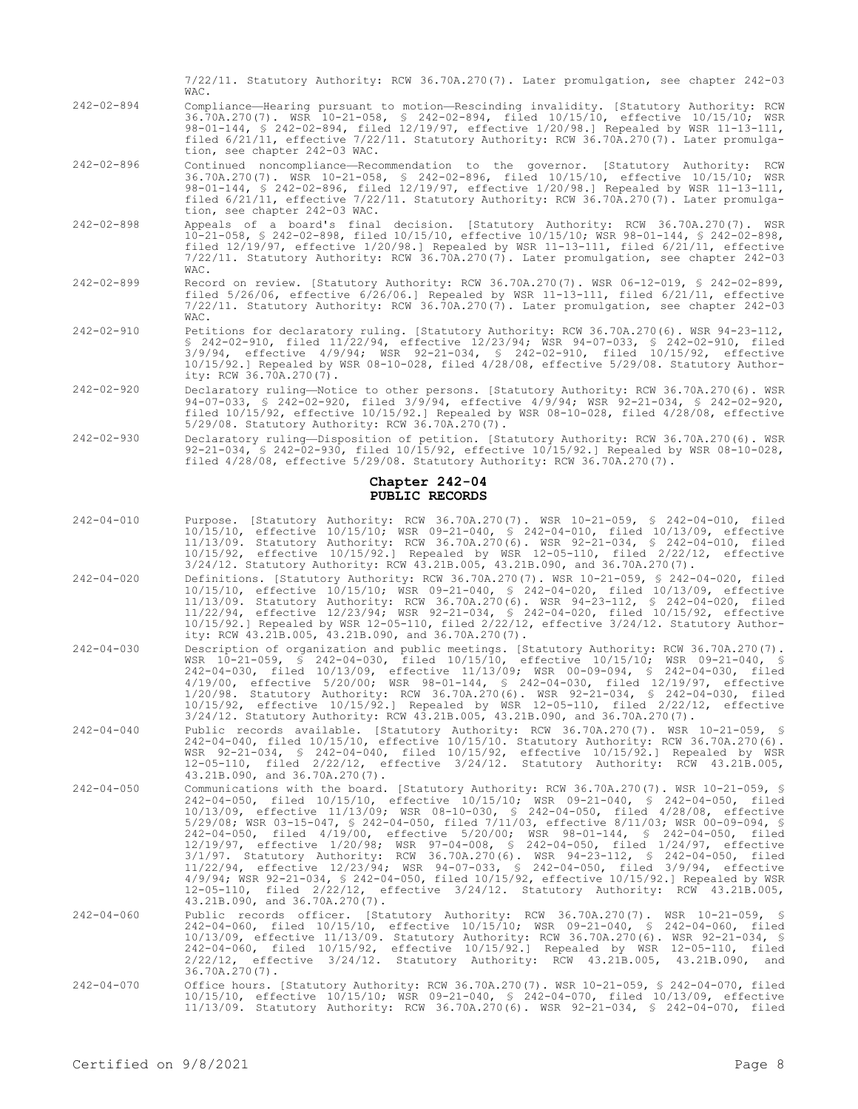|                  | 7/22/11. Statutory Authority: RCW 36.70A.270(7). Later promulgation, see chapter 242-03<br>WAC.                                                                                                                                                                                                                                                                                                        |
|------------------|--------------------------------------------------------------------------------------------------------------------------------------------------------------------------------------------------------------------------------------------------------------------------------------------------------------------------------------------------------------------------------------------------------|
| $242 - 02 - 894$ | Compliance-Hearing pursuant to motion-Rescinding invalidity. [Statutory Authority: RCW<br>36.70A.270(7). WSR 10-21-058, § 242-02-894, filed 10/15/10, effective 10/15/10; WSR<br>98-01-144, § 242-02-894, filed 12/19/97, effective 1/20/98.] Repealed by WSR 11-13-111,<br>filed 6/21/11, effective 7/22/11. Statutory Authority: RCW 36.70A.270(7). Later promulga-<br>tion, see chapter 242-03 WAC. |
| 242-02-896       | Continued noncompliance—Recommendation to the governor. [Statutory Authority: RCW<br>36.70A.270(7). WSR 10-21-058, § 242-02-896, filed 10/15/10, effective 10/15/10; WSR<br>98-01-144, § 242-02-896, filed 12/19/97, effective 1/20/98.] Repealed by WSR 11-13-111,<br>filed 6/21/11, effective 7/22/11. Statutory Authority: RCW 36.70A.270(7). Later promulga-<br>tion, see chapter 242-03 WAC.      |

- 242-02-898 Appeals of a board's final decision. [Statutory Authority: RCW 36.70A.270(7). WSR 10-21-058, § 242-02-898, filed 10/15/10, effective 10/15/10; WSR 98-01-144, § 242-02-898, filed 12/19/97, effective 1/20/98.] Repealed by WSR 11-13-111, filed 6/21/11, effective  $7/22/11.$  Statutory Authority: RCW 36.70A.270(7). Later promulgation, see chapter 242-03 WAC.
- 242-02-899 Record on review. [Statutory Authority: RCW 36.70A.270(7). WSR 06-12-019, § 242-02-899, filed 5/26/06, effective 6/26/06.] Repealed by WSR 11-13-111, filed 6/21/11, effective 7/22/11. Statutory Authority: RCW 36.70A.270(7). Later promulgation, see chapter 242-03 WAC.
- 242-02-910 Petitions for declaratory ruling. [Statutory Authority: RCW 36.70A.270(6). WSR 94-23-112, § 242-02-910, filed 11/22/94, effective 12/23/94; WSR 94-07-033, § 242-02-910, filed 3/9/94, effective 4/9/94; WSR 92-21-034, § 242-02-910, filed 10/15/92, effective 10/15/92.] Repealed by WSR 08-10-028, filed 4/28/08, effective 5/29/08. Statutory Authority: RCW 36.70A.270(7).
- 242-02-920 Declaratory ruling—Notice to other persons. [Statutory Authority: RCW 36.70A.270(6). WSR 94-07-033, § 242-02-920, filed 3/9/94, effective 4/9/94; WSR 92-21-034, § 242-02-920, filed 10/15/92, effective 10/15/92.] Repealed by WSR 08-10-028, filed 4/28/08, effective 5/29/08. Statutory Authority: RCW 36.70A.270(7).
- 242-02-930 Declaratory ruling—Disposition of petition. [Statutory Authority: RCW 36.70A.270(6). WSR 92-21-034, § 242-02-930, filed 10/15/92, effective 10/15/92.] Repealed by WSR 08-10-028, filed 4/28/08, effective 5/29/08. Statutory Authority: RCW 36.70A.270(7).

### **Chapter 242-04 PUBLIC RECORDS**

- 242-04-010 Purpose. [Statutory Authority: RCW 36.70A.270(7). WSR 10-21-059, § 242-04-010, filed 10/15/10, effective 10/15/10; WSR 09-21-040, § 242-04-010, filed 10/13/09, effective 11/13/09. Statutory Authority: RCW 36.70A.270(6). WSR 92-21-034, § 242-04-010, filed 10/15/92, effective 10/15/92.] Repealed by WSR 12-05-110, filed 2/22/12, effective 3/24/12. Statutory Authority: RCW 43.21B.005, 43.21B.090, and 36.70A.270(7).
- 242-04-020 Definitions. [Statutory Authority: RCW 36.70A.270(7). WSR 10-21-059, § 242-04-020, filed 10/15/10, effective 10/15/10; WSR 09-21-040, § 242-04-020, filed 10/13/09, effective 11/13/09. Statutory Authority: RCW 36.70A.270(6). WSR 94-23-112, § 242-04-020, filed 11/22/94, effective 12/23/94; WSR 92-21-034, § 242-04-020, filed 10/15/92, effective 10/15/92.] Repealed by WSR 12-05-110, filed 2/22/12, effective 3/24/12. Statutory Authority: RCW 43.21B.005, 43.21B.090, and 36.70A.270(7).
- 242-04-030 Description of organization and public meetings. [Statutory Authority: RCW 36.70A.270(7). WSR 10-21-059, § 242-04-030, filed 10/15/10, effective 10/15/10; WSR 09-21-040, § 242-04-030, filed 10/13/09, effective 11/13/09; WSR 00-09-094, § 242-04-030, filed 4/19/00, effective 5/20/00; WSR 98-01-144, § 242-04-030, filed 12/19/97, effective 1/20/98. Statutory Authority: RCW 36.70A.270(6). WSR 92-21-034, § 242-04-030, filed 10/15/92, effective 10/15/92.] Repealed by WSR 12-05-110, filed 2/22/12, effective 3/24/12. Statutory Authority: RCW 43.21B.005, 43.21B.090, and 36.70A.270(7).
- 242-04-040 Public records available. [Statutory Authority: RCW 36.70A.270(7). WSR 10-21-059, § 242-04-040, filed 10/15/10, effective 10/15/10. Statutory Authority: RCW 36.70A.270(6). WSR 92-21-034, § 242-04-040, filed 10/15/92, effective 10/15/92.] Repealed by WSR 12-05-110, filed 2/22/12, effective 3/24/12. Statutory Authority: RCW 43.21B.005, 43.21B.090, and 36.70A.270(7).
- 242-04-050 Communications with the board. [Statutory Authority: RCW 36.70A.270(7). WSR 10-21-059, § 242-04-050, filed 10/15/10, effective 10/15/10; WSR 09-21-040, § 242-04-050, filed 10/13/09, effective 11/13/09; WSR 08-10-030, § 242-04-050, filed 4/28/08, effective 5/29/08; WSR 03-15-047, § 242-04-050, filed 7/11/03, effective 8/11/03; WSR 00-09-094, § 242-04-050, filed 4/19/00, effective 5/20/00; WSR 98-01-144, § 242-04-050, filed 12/19/97, effective 1/20/98; WSR 97-04-008, § 242-04-050, filed 1/24/97, effective 3/1/97. Statutory Authority: RCW 36.70A.270(6). WSR 94-23-112, § 242-04-050, filed 11/22/94, effective 12/23/94; WSR 94-07-033, § 242-04-050, filed 3/9/94, effective 4/9/94; WSR 92-21-034, § 242-04-050, filed 10/15/92, effective 10/15/92.] Repealed by WSR 12-05-110, filed 2/22/12, effective 3/24/12. Statutory Authority: RCW 43.21B.005, 43.21B.090, and 36.70A.270(7).
- 242-04-060 Public records officer. [Statutory Authority: RCW 36.70A.270(7). WSR 10-21-059, \$<br>242-04-060, filed 10/15/10, effective 10/15/10; WSR 09-21-040, \$ 242-04-060, filed<br>10/13/09, effective 11/13/09. Statutory Author 242-04-060, filed 10/15/92, effective 10/15/92.] Repealed by WSR 12-05-110, filed 2/22/12, effective 3/24/12. Statutory Authority: RCW 43.21B.005, 43.21B.090, and 36.70A.270(7).
- 242-04-070 Office hours. [Statutory Authority: RCW 36.70A.270(7). WSR 10-21-059, § 242-04-070, filed 10/15/10, effective 10/15/10; WSR 09-21-040, § 242-04-070, filed 10/13/09, effective 11/13/09. Statutory Authority: RCW 36.70A.270(6). WSR 92-21-034, § 242-04-070, filed